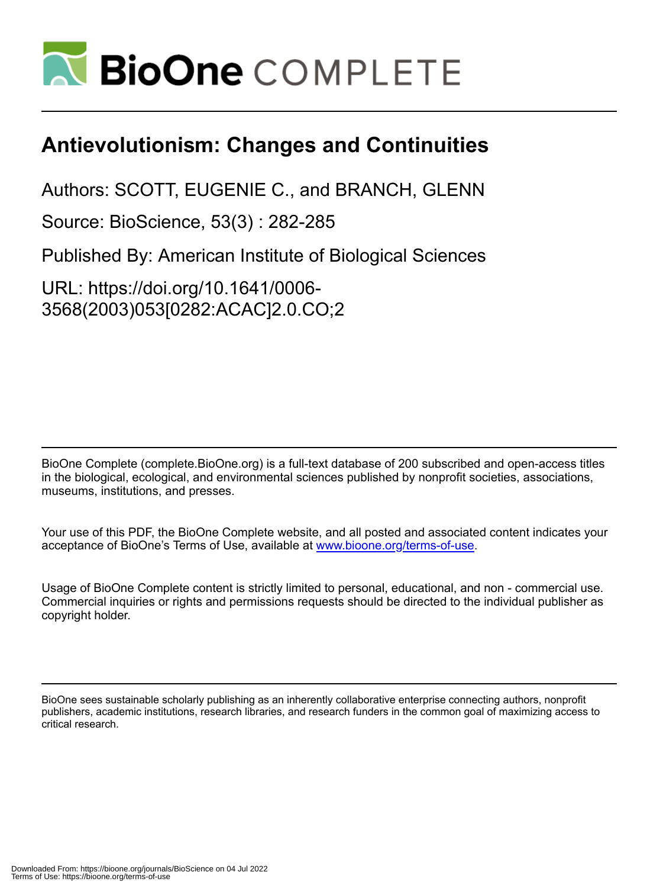

## **Antievolutionism: Changes and Continuities**

Authors: SCOTT, EUGENIE C., and BRANCH, GLENN

Source: BioScience, 53(3) : 282-285

Published By: American Institute of Biological Sciences

URL: https://doi.org/10.1641/0006- 3568(2003)053[0282:ACAC]2.0.CO;2

BioOne Complete (complete.BioOne.org) is a full-text database of 200 subscribed and open-access titles in the biological, ecological, and environmental sciences published by nonprofit societies, associations, museums, institutions, and presses.

Your use of this PDF, the BioOne Complete website, and all posted and associated content indicates your acceptance of BioOne's Terms of Use, available at www.bioone.org/terms-of-use.

Usage of BioOne Complete content is strictly limited to personal, educational, and non - commercial use. Commercial inquiries or rights and permissions requests should be directed to the individual publisher as copyright holder.

BioOne sees sustainable scholarly publishing as an inherently collaborative enterprise connecting authors, nonprofit publishers, academic institutions, research libraries, and research funders in the common goal of maximizing access to critical research.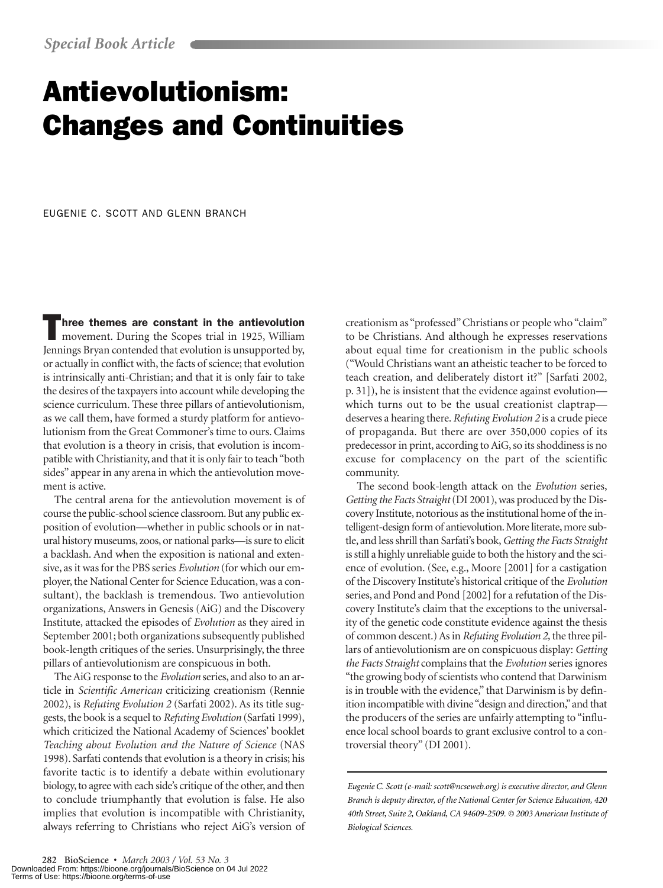# Antievolutionism: Changes and Continuities

EUGENIE C. SCOTT AND GLENN BRANCH

Three themes are constant in the antievolution movement. During the Scopes trial in 1925, William Jennings Bryan contended that evolution is unsupported by, or actually in conflict with, the facts of science; that evolution is intrinsically anti-Christian; and that it is only fair to take the desires of the taxpayers into account while developing the science curriculum. These three pillars of antievolutionism, as we call them, have formed a sturdy platform for antievolutionism from the Great Commoner's time to ours. Claims that evolution is a theory in crisis, that evolution is incompatible with Christianity, and that it is only fair to teach "both sides" appear in any arena in which the antievolution movement is active.

The central arena for the antievolution movement is of course the public-school science classroom. But any public exposition of evolution—whether in public schools or in natural history museums, zoos, or national parks—is sure to elicit a backlash. And when the exposition is national and extensive, as it was for the PBS series *Evolution* (for which our employer, the National Center for Science Education, was a consultant), the backlash is tremendous. Two antievolution organizations, Answers in Genesis (AiG) and the Discovery Institute, attacked the episodes of *Evolution* as they aired in September 2001; both organizations subsequently published book-length critiques of the series. Unsurprisingly, the three pillars of antievolutionism are conspicuous in both.

The AiG response to the *Evolution* series, and also to an article in *Scientific American* criticizing creationism (Rennie 2002), is *Refuting Evolution 2* (Sarfati 2002). As its title suggests, the book is a sequel to *Refuting Evolution* (Sarfati 1999), which criticized the National Academy of Sciences' booklet *Teaching about Evolution and the Nature of Science* (NAS 1998). Sarfati contends that evolution is a theory in crisis; his favorite tactic is to identify a debate within evolutionary biology, to agree with each side's critique of the other, and then to conclude triumphantly that evolution is false. He also implies that evolution is incompatible with Christianity, always referring to Christians who reject AiG's version of creationism as "professed" Christians or people who "claim" to be Christians. And although he expresses reservations about equal time for creationism in the public schools ("Would Christians want an atheistic teacher to be forced to teach creation, and deliberately distort it?" [Sarfati 2002, p. 31]), he is insistent that the evidence against evolution which turns out to be the usual creationist claptrap deserves a hearing there.*Refuting Evolution 2* is a crude piece of propaganda. But there are over 350,000 copies of its predecessor in print, according to AiG, so its shoddiness is no excuse for complacency on the part of the scientific community.

The second book-length attack on the *Evolution* series, *Getting the Facts Straight*(DI 2001), was produced by the Discovery Institute, notorious as the institutional home of the intelligent-design form of antievolution. More literate, more subtle, and less shrill than Sarfati's book,*Getting the Facts Straight* is still a highly unreliable guide to both the history and the science of evolution. (See, e.g., Moore [2001] for a castigation of the Discovery Institute's historical critique of the *Evolution* series, and Pond and Pond [2002] for a refutation of the Discovery Institute's claim that the exceptions to the universality of the genetic code constitute evidence against the thesis of common descent.) As in *Refuting Evolution 2,* the three pillars of antievolutionism are on conspicuous display: *Getting the Facts Straight* complains that the *Evolution* series ignores "the growing body of scientists who contend that Darwinism is in trouble with the evidence," that Darwinism is by definition incompatible with divine "design and direction,"and that the producers of the series are unfairly attempting to "influence local school boards to grant exclusive control to a controversial theory" (DI 2001).

*Eugenie C. Scott (e-mail: scott@ncseweb.org) is executive director, and Glenn Branch is deputy director, of the National Center for Science Education, 420 40th Street, Suite 2, Oakland, CA 94609-2509. © 2003 American Institute of Biological Sciences.*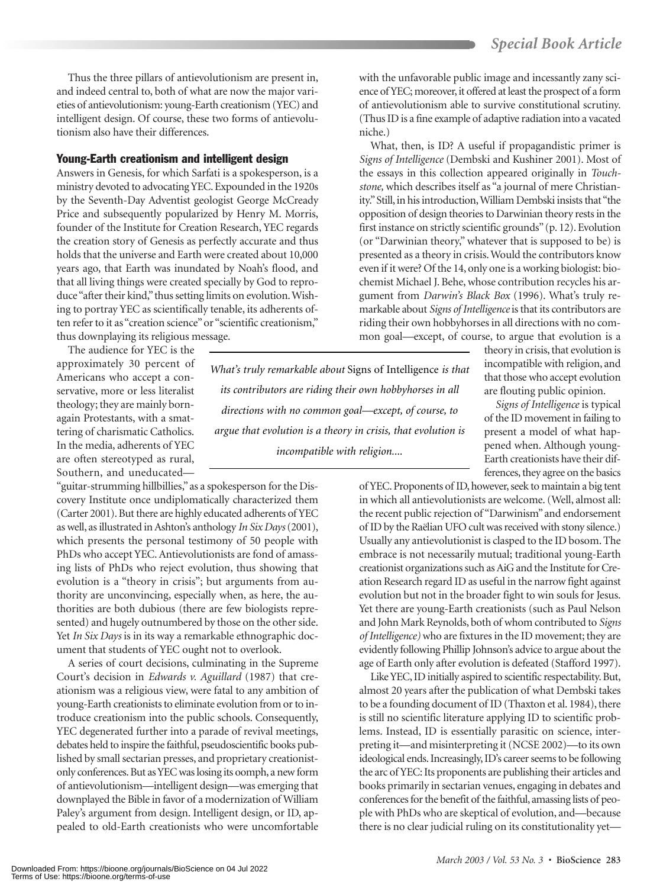Thus the three pillars of antievolutionism are present in, and indeed central to, both of what are now the major varieties of antievolutionism: young-Earth creationism (YEC) and intelligent design. Of course, these two forms of antievolutionism also have their differences.

#### Young-Earth creationism and intelligent design

Answers in Genesis, for which Sarfati is a spokesperson, is a ministry devoted to advocating YEC. Expounded in the 1920s by the Seventh-Day Adventist geologist George McCready Price and subsequently popularized by Henry M. Morris, founder of the Institute for Creation Research, YEC regards the creation story of Genesis as perfectly accurate and thus holds that the universe and Earth were created about 10,000 years ago, that Earth was inundated by Noah's flood, and that all living things were created specially by God to reproduce "after their kind,"thus setting limits on evolution. Wishing to portray YEC as scientifically tenable, its adherents often refer to it as "creation science" or "scientific creationism," thus downplaying its religious message.

The audience for YEC is the

approximately 30 percent of Americans who accept a conservative, more or less literalist theology; they are mainly bornagain Protestants, with a smattering of charismatic Catholics. In the media, adherents of YEC are often stereotyped as rural, Southern, and uneducated—

"guitar-strumming hillbillies,"as a spokesperson for the Discovery Institute once undiplomatically characterized them (Carter 2001). But there are highly educated adherents of YEC as well, as illustrated in Ashton's anthology *In Six Days*(2001), which presents the personal testimony of 50 people with PhDs who accept YEC. Antievolutionists are fond of amassing lists of PhDs who reject evolution, thus showing that evolution is a "theory in crisis"; but arguments from authority are unconvincing, especially when, as here, the authorities are both dubious (there are few biologists represented) and hugely outnumbered by those on the other side. Yet *In Six Days* is in its way a remarkable ethnographic document that students of YEC ought not to overlook.

A series of court decisions, culminating in the Supreme Court's decision in *Edwards v. Aguillard* (1987) that creationism was a religious view, were fatal to any ambition of young-Earth creationists to eliminate evolution from or to introduce creationism into the public schools. Consequently, YEC degenerated further into a parade of revival meetings, debates held to inspire the faithful, pseudoscientific books published by small sectarian presses, and proprietary creationistonly conferences. But as YEC was losing its oomph, a new form of antievolutionism—intelligent design—was emerging that downplayed the Bible in favor of a modernization of William Paley's argument from design. Intelligent design, or ID, appealed to old-Earth creationists who were uncomfortable

*What's truly remarkable about* Signs of Intelligence *is that its contributors are riding their own hobbyhorses in all directions with no common goal—except, of course, to argue that evolution is a theory in crisis, that evolution is incompatible with religion....*

with the unfavorable public image and incessantly zany science of YEC; moreover, it offered at least the prospect of a form of antievolutionism able to survive constitutional scrutiny. (Thus ID is a fine example of adaptive radiation into a vacated niche.)

What, then, is ID? A useful if propagandistic primer is *Signs of Intelligence* (Dembski and Kushiner 2001). Most of the essays in this collection appeared originally in *Touchstone,* which describes itself as "a journal of mere Christianity."Still, in his introduction,William Dembski insists that "the opposition of design theories to Darwinian theory rests in the first instance on strictly scientific grounds"(p. 12). Evolution (or "Darwinian theory," whatever that is supposed to be) is presented as a theory in crisis. Would the contributors know even if it were? Of the 14, only one is a working biologist: biochemist Michael J. Behe, whose contribution recycles his argument from *Darwin's Black Box* (1996). What's truly remarkable about *Signs of Intelligence*is that its contributors are riding their own hobbyhorses in all directions with no common goal—except, of course, to argue that evolution is a

> theory in crisis, that evolution is incompatible with religion, and that those who accept evolution are flouting public opinion.

> *Signs of Intelligence* is typical of the ID movement in failing to present a model of what happened when. Although young-Earth creationists have their differences, they agree on the basics

of YEC. Proponents of ID, however, seek to maintain a big tent in which all antievolutionists are welcome. (Well, almost all: the recent public rejection of "Darwinism"and endorsement of ID by the Raëlian UFO cult was received with stony silence.) Usually any antievolutionist is clasped to the ID bosom. The embrace is not necessarily mutual; traditional young-Earth creationist organizations such as AiG and the Institute for Creation Research regard ID as useful in the narrow fight against evolution but not in the broader fight to win souls for Jesus. Yet there are young-Earth creationists (such as Paul Nelson and John Mark Reynolds, both of whom contributed to *Signs of Intelligence)* who are fixtures in the ID movement; they are evidently following Phillip Johnson's advice to argue about the age of Earth only after evolution is defeated (Stafford 1997).

Like YEC, ID initially aspired to scientific respectability. But, almost 20 years after the publication of what Dembski takes to be a founding document of ID (Thaxton et al. 1984), there is still no scientific literature applying ID to scientific problems. Instead, ID is essentially parasitic on science, interpreting it—and misinterpreting it (NCSE 2002)—to its own ideological ends. Increasingly, ID's career seems to be following the arc of YEC: Its proponents are publishing their articles and books primarily in sectarian venues, engaging in debates and conferences for the benefit of the faithful, amassing lists of people with PhDs who are skeptical of evolution, and—because there is no clear judicial ruling on its constitutionality yet—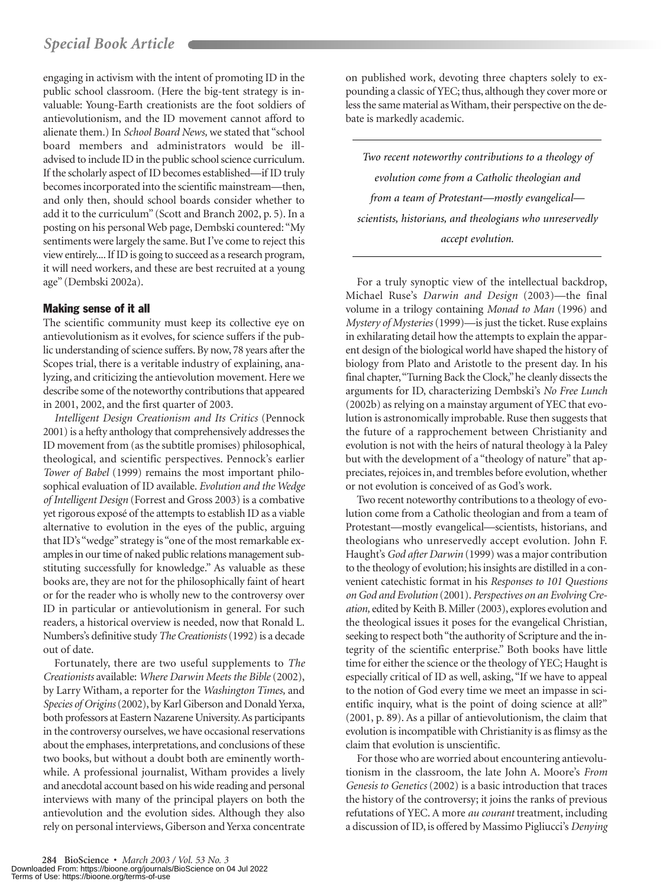engaging in activism with the intent of promoting ID in the public school classroom. (Here the big-tent strategy is invaluable: Young-Earth creationists are the foot soldiers of antievolutionism, and the ID movement cannot afford to alienate them.) In *School Board News,* we stated that "school board members and administrators would be illadvised to include ID in the public school science curriculum. If the scholarly aspect of ID becomes established—if ID truly becomes incorporated into the scientific mainstream—then, and only then, should school boards consider whether to add it to the curriculum" (Scott and Branch 2002, p. 5). In a posting on his personal Web page, Dembski countered: "My sentiments were largely the same. But I've come to reject this view entirely.... If ID is going to succeed as a research program, it will need workers, and these are best recruited at a young age" (Dembski 2002a).

### Making sense of it all

The scientific community must keep its collective eye on antievolutionism as it evolves, for science suffers if the public understanding of science suffers. By now, 78 years after the Scopes trial, there is a veritable industry of explaining, analyzing, and criticizing the antievolution movement. Here we describe some of the noteworthy contributions that appeared in 2001, 2002, and the first quarter of 2003.

*Intelligent Design Creationism and Its Critics* (Pennock 2001) is a hefty anthology that comprehensively addresses the ID movement from (as the subtitle promises) philosophical, theological, and scientific perspectives. Pennock's earlier *Tower of Babel* (1999) remains the most important philosophical evaluation of ID available. *Evolution and the Wedge of Intelligent Design* (Forrest and Gross 2003) is a combative yet rigorous exposé of the attempts to establish ID as a viable alternative to evolution in the eyes of the public, arguing that ID's "wedge" strategy is "one of the most remarkable examples in our time of naked public relations management substituting successfully for knowledge." As valuable as these books are, they are not for the philosophically faint of heart or for the reader who is wholly new to the controversy over ID in particular or antievolutionism in general. For such readers, a historical overview is needed, now that Ronald L. Numbers's definitive study *The Creationists*(1992) is a decade out of date.

Fortunately, there are two useful supplements to *The Creationists* available: *Where Darwin Meets the Bible* (2002), by Larry Witham, a reporter for the *Washington Times,* and *Species of Origins*(2002), by Karl Giberson and Donald Yerxa, both professors at Eastern Nazarene University.As participants in the controversy ourselves, we have occasional reservations about the emphases, interpretations, and conclusions of these two books, but without a doubt both are eminently worthwhile. A professional journalist, Witham provides a lively and anecdotal account based on his wide reading and personal interviews with many of the principal players on both the antievolution and the evolution sides. Although they also rely on personal interviews, Giberson and Yerxa concentrate

on published work, devoting three chapters solely to expounding a classic of YEC; thus, although they cover more or less the same material as Witham, their perspective on the debate is markedly academic.

*Two recent noteworthy contributions to a theology of evolution come from a Catholic theologian and from a team of Protestant—mostly evangelical scientists, historians, and theologians who unreservedly accept evolution.*

For a truly synoptic view of the intellectual backdrop, Michael Ruse's *Darwin and Design* (2003)—the final volume in a trilogy containing *Monad to Man* (1996) and *Mystery of Mysteries*(1999)—is just the ticket. Ruse explains in exhilarating detail how the attempts to explain the apparent design of the biological world have shaped the history of biology from Plato and Aristotle to the present day. In his final chapter,"Turning Back the Clock,"he cleanly dissects the arguments for ID, characterizing Dembski's *No Free Lunch* (2002b) as relying on a mainstay argument of YEC that evolution is astronomically improbable. Ruse then suggests that the future of a rapprochement between Christianity and evolution is not with the heirs of natural theology à la Paley but with the development of a "theology of nature" that appreciates, rejoices in, and trembles before evolution, whether or not evolution is conceived of as God's work.

Two recent noteworthy contributions to a theology of evolution come from a Catholic theologian and from a team of Protestant—mostly evangelical—scientists, historians, and theologians who unreservedly accept evolution. John F. Haught's *God after Darwin* (1999) was a major contribution to the theology of evolution; his insights are distilled in a convenient catechistic format in his *Responses to 101 Questions on God and Evolution* (2001). *Perspectives on an Evolving Creation,* edited by Keith B. Miller (2003), explores evolution and the theological issues it poses for the evangelical Christian, seeking to respect both "the authority of Scripture and the integrity of the scientific enterprise." Both books have little time for either the science or the theology of YEC; Haught is especially critical of ID as well, asking, "If we have to appeal to the notion of God every time we meet an impasse in scientific inquiry, what is the point of doing science at all?" (2001, p. 89). As a pillar of antievolutionism, the claim that evolution is incompatible with Christianity is as flimsy as the claim that evolution is unscientific.

For those who are worried about encountering antievolutionism in the classroom, the late John A. Moore's *From Genesis to Genetics* (2002) is a basic introduction that traces the history of the controversy; it joins the ranks of previous refutations of YEC. A more *au courant* treatment, including a discussion of ID, is offered by Massimo Pigliucci's *Denying*